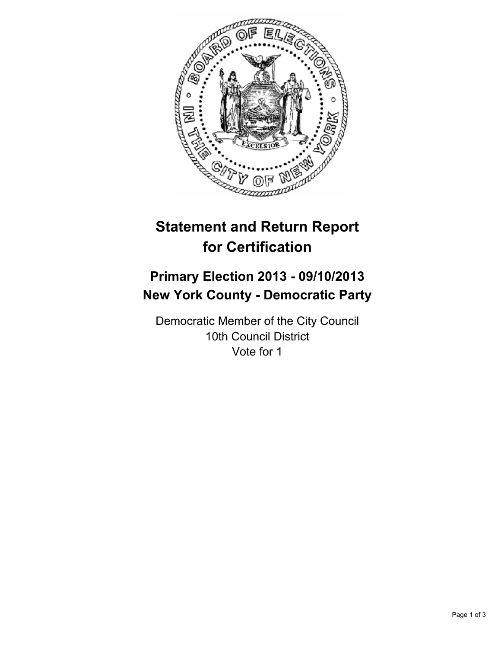

# **Statement and Return Report for Certification**

# **Primary Election 2013 - 09/10/2013 New York County - Democratic Party**

Democratic Member of the City Council 10th Council District Vote for 1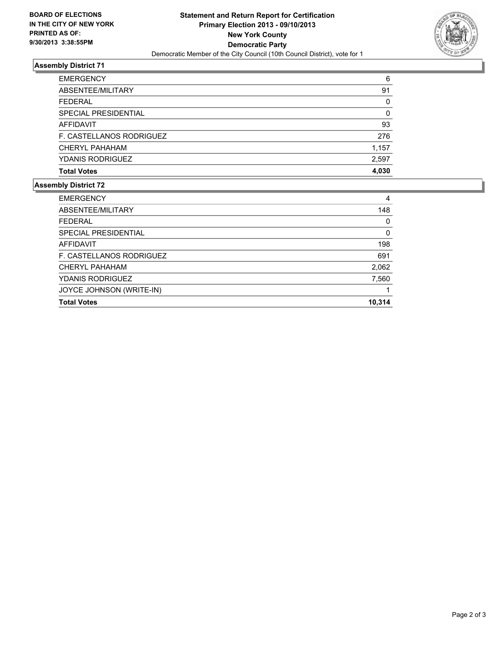

## **Assembly District 71**

| <b>EMERGENCY</b>         | 6     |
|--------------------------|-------|
| ABSENTEE/MILITARY        | 91    |
| <b>FEDERAL</b>           | 0     |
| SPECIAL PRESIDENTIAL     | 0     |
| AFFIDAVIT                | 93    |
| F. CASTELLANOS RODRIGUEZ | 276   |
| CHERYL PAHAHAM           | 1,157 |
| <b>YDANIS RODRIGUEZ</b>  | 2,597 |
| <b>Total Votes</b>       | 4,030 |

#### **Assembly District 72**

| <b>EMERGENCY</b>         | 4      |
|--------------------------|--------|
| ABSENTEE/MILITARY        | 148    |
| <b>FEDERAL</b>           | 0      |
| SPECIAL PRESIDENTIAL     | 0      |
| AFFIDAVIT                | 198    |
| F. CASTELLANOS RODRIGUEZ | 691    |
| CHERYL PAHAHAM           | 2,062  |
| <b>YDANIS RODRIGUEZ</b>  | 7,560  |
| JOYCE JOHNSON (WRITE-IN) |        |
| <b>Total Votes</b>       | 10.314 |